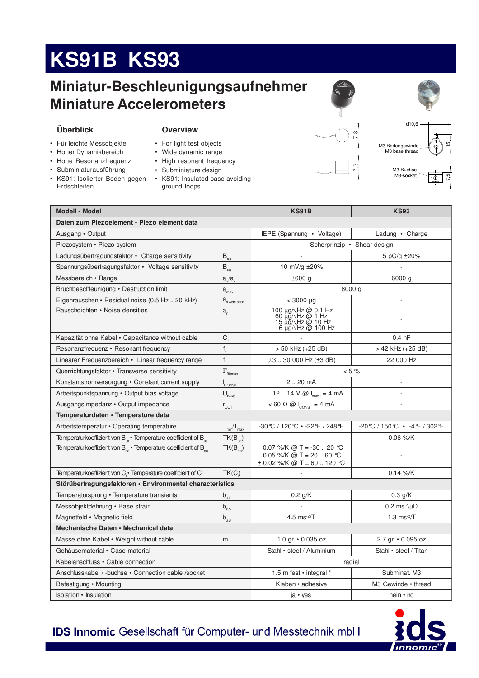# **KS91B KS93**

## **Miniatur-Beschleunigungsaufnehmer Miniature Accelerometers**



### **Overview**

- Für leichte Messobjekte
- Hoher Dynamikbereich
- Hohe Resonanzfrequenz
- Subminiaturausführung
- KS91: Isolierter Boden gegen Erdschleifen
- For light test objects
- Wide dynami
- High resona
- $\cdot$  Subminiature
- KS91: Insulated base avoiding ground loops

|    | Ñ       |
|----|---------|
| Ğ, | ez<br>C |
|    |         |
|    |         |
|    |         |



d10,6

M3 Bodengewinde M3 base thread



 $\frac{5}{2}$ 

M3-Buchse M3-socket

| Modell · Model                                                                         |                                         | <b>KS91B</b>                                                                            | <b>KS93</b>                    |  |  |
|----------------------------------------------------------------------------------------|-----------------------------------------|-----------------------------------------------------------------------------------------|--------------------------------|--|--|
| Daten zum Piezoelement · Piezo element data                                            |                                         |                                                                                         |                                |  |  |
| Ausgang • Output                                                                       |                                         | IEPE (Spannung • Voltage)                                                               | Ladung • Charge                |  |  |
| Piezosystem · Piezo system                                                             |                                         | Scherprinzip • Shear design                                                             |                                |  |  |
| Ladungsübertragungsfaktor • Charge sensitivity                                         | $B_{qa}$                                |                                                                                         | 5 pC/g ±20%                    |  |  |
| Spannungsübertragungsfaktor · Voltage sensitivity                                      | $\mathsf{B}_{\mathrm{ua}}$              | 10 mV/g ±20%                                                                            |                                |  |  |
| Messbereich • Range                                                                    | $a_{\mu}/a_{\mu}$                       | ±600 g<br>6000 g                                                                        |                                |  |  |
| Bruchbeschleunigung • Destruction limit                                                | $a_{\rm max}$                           | 8000 g                                                                                  |                                |  |  |
| Eigenrauschen · Residual noise (0.5 Hz 20 kHz)                                         | $a_{\text{n wide band}}$                | $< 3000 \mu g$                                                                          |                                |  |  |
| Rauschdichten • Noise densities                                                        | $a_{n}$                                 | 100 µg/√Hz @ 0.1 Hz<br>60 µg/√Hz @ 1 Hz<br>15 µg/√Hz @ 10 Hz<br>6 µg/√Hz @ 100 Hz       |                                |  |  |
| Kapazität ohne Kabel • Capacitance without cable                                       | $C_{1}$                                 |                                                                                         | $0.4$ nF                       |  |  |
| Resonanzfrequenz · Resonant frequency                                                  | $\mathsf{f}_{\sf r}$                    | > 50 kHz (+25 dB)                                                                       | > 42 kHz (+25 dB)              |  |  |
| Linearer Frequenzbereich • Linear frequency range                                      | $f_{\parallel}$                         | 22 000 Hz<br>$0.3$ 30 000 Hz ( $\pm$ 3 dB)                                              |                                |  |  |
| Querrichtungsfaktor • Transverse sensitivity                                           | $\Gamma_{\underline{\text{90max}}}$     | $< 5 \%$                                                                                |                                |  |  |
| Konstantstromversorgung • Constant current supply                                      | <b>CONST</b>                            | 2.20 mA                                                                                 |                                |  |  |
| Arbeitspunktspannung • Output bias voltage                                             | $\mathsf{U}_{\underline{\mathsf{BMS}}}$ | 12  14 $V \text{ @ } I_{\text{const}} = 4 \text{ mA}$<br>÷,                             |                                |  |  |
| Ausgangsimpedanz • Output impedance                                                    | $r_{\text{OUT}}$                        | $< 60 \Omega \omega l_{\text{const}} = 4 \text{ mA}$                                    |                                |  |  |
| Temperaturdaten · Temperature data                                                     |                                         |                                                                                         |                                |  |  |
| Arbeitstemperatur • Operating temperature                                              | $T_{min}/T_{max}$                       | -30℃ / 120℃ • -22 °F / 248 °F                                                           | -20℃/150℃ • -4℉/302℉           |  |  |
| Temperaturkoeffizient von B <sub>is</sub> · Temperature coefficient of B <sub>is</sub> | $TK(B_{\text{ua}})$                     |                                                                                         | 0.06 %/K                       |  |  |
| Temperaturkoeffizient von $B_{\alpha}$ · Temperature coefficient of $B_{\alpha}$       | $TK(B_{\text{na}})$                     | 0.07 %/K @ T = -30  20 °C<br>0.05 %/K @ T = 20  60 ℃<br>$\pm$ 0.02 %/K @ T = 60  120 °C |                                |  |  |
| Temperaturkoeffizient von C, • Temperature coefficient of C,                           | TK(C)                                   |                                                                                         | $0.14 \%$ /K                   |  |  |
| Störübertragungsfaktoren · Environmental characteristics                               |                                         |                                                                                         |                                |  |  |
| Temperatursprung · Temperature transients                                              | $b_{aT}$                                | $0.2$ g/K                                                                               | $0.3$ g/K                      |  |  |
| Messobiektdehnung • Base strain                                                        | b <sub>o</sub>                          |                                                                                         | $0.2 \text{ ms}^2/\mu\text{D}$ |  |  |

Messobjektdehnung • Base strain en strankelse b<sub>as</sub> - small boost  $0.2 \text{ ms}^2/\mu\text{D}$ Magnetfeld • Magnetic field  $b_{ab}$ 4.5  $ms^2/T$  $1.3 \text{ ms}^2/T$ **Mechanische Daten • Mechanical data** Masse ohne Kabel • Weight without cable m m ... and m ... 1.0 gr. • 0.035 oz ... 2.7 gr. • 0.095 oz lairet americanisacreace Cerlairet and the Standard Stahl • Stahl • Stahl • Stahl • Stahl • steel / Titan Kabelanschluss • Cable connection and the connection of the connection of the connection of the connection of the connection of the connection of the connection of the connection of the connection of the connection of the Anschlusskabel / -buchse · Connection cable /socket 1.5 m fest · integral \* Subminat. M3 Befestigung • Mounting entitled to the evint of the evint of the M3 Gewinde • thread noitalusnia in termine noitalusta valta valta valta valta valta valta valta valta valta valta valta valta valta valta valta valta valta valta valta valta valta valta valta valta valta valta valta valta valta valta valta va



**IDS Innomic Gesellschaft für Computer- und Messtechnik mbH** 

- 
- 

| iic range     |  |
|---------------|--|
| ınt frequency |  |
| e design      |  |
|               |  |